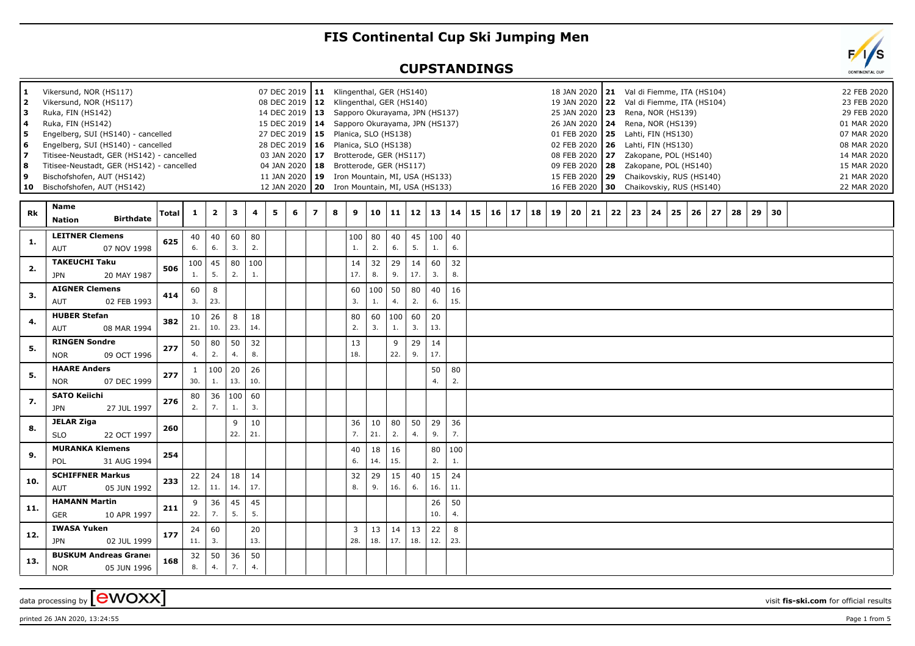## **FIS Continental Cup Ski Jumping Men**

## **CUPSTANDINGS**

| 1<br>$\overline{2}$<br>з<br>5<br>6<br>7<br>8 | Vikersund, NOR (HS117)<br>Vikersund, NOR (HS117)<br>Ruka, FIN (HS142)<br>Ruka, FIN (HS142)<br>Engelberg, SUI (HS140) - cancelled<br>Engelberg, SUI (HS140) - cancelled<br>Titisee-Neustadt, GER (HS142) - cancelled<br>Titisee-Neustadt, GER (HS142) - cancelled<br>Bischofshofen, AUT (HS142)<br>10 Bischofshofen, AUT (HS142) |       |           |                         |           |           |   | 08 DEC 2019 12<br>15 DEC 2019   14<br>27 DEC 2019   15<br>04 JAN 2020   18 |                | 07 DEC 2019   11 Klingenthal, GER (HS140)<br>Klingenthal, GER (HS140)<br>14 DEC 2019   13 Sapporo Okurayama, JPN (HS137)<br>Sapporo Okurayama, JPN (HS137)<br>Planica, SLO (HS138)<br>28 DEC 2019   16 Planica, SLO (HS138)<br>03 JAN 2020   17 Brotterode, GER (HS117)<br>Brotterode, GER (HS117)<br>11 JAN 2020 19 Iron Mountain, MI, USA (HS133)<br>12 JAN 2020   20 Iron Mountain, MI, USA (HS133) |                       |           |           |           |                     |           |    |    |    |    | 18 JAN 2020<br>25 JAN 2020 23<br>26 JAN 2020 24<br>01 FEB 2020 25<br>09 FEB 2020 28 |    |    |    |    | Rena, NOR (HS139)<br>Rena, NOR (HS139)<br>Lahti, FIN (HS130)<br>02 FEB 2020   26 Lahti, FIN (HS130) |    | 21 Val di Fiemme, ITA (HS104)<br>19 JAN 2020 22 Val di Fiemme, ITA (HS104)<br>08 FEB 2020 27 Zakopane, POL (HS140)<br>Zakopane, POL (HS140)<br>15 FEB 2020 29 Chaikovskiy, RUS (HS140)<br>16 FEB 2020 30 Chaikovskiy, RUS (HS140) |    |    |    |    |  | 01 MAR 2020<br>07 MAR 2020<br>08 MAR 2020<br>14 MAR 2020<br>15 MAR 2020<br>21 MAR 2020<br>22 MAR 2020 | 22 FEB 2020<br>23 FEB 2020<br>29 FEB 2020 |  |
|----------------------------------------------|---------------------------------------------------------------------------------------------------------------------------------------------------------------------------------------------------------------------------------------------------------------------------------------------------------------------------------|-------|-----------|-------------------------|-----------|-----------|---|----------------------------------------------------------------------------|----------------|--------------------------------------------------------------------------------------------------------------------------------------------------------------------------------------------------------------------------------------------------------------------------------------------------------------------------------------------------------------------------------------------------------|-----------------------|-----------|-----------|-----------|---------------------|-----------|----|----|----|----|-------------------------------------------------------------------------------------|----|----|----|----|-----------------------------------------------------------------------------------------------------|----|-----------------------------------------------------------------------------------------------------------------------------------------------------------------------------------------------------------------------------------|----|----|----|----|--|-------------------------------------------------------------------------------------------------------|-------------------------------------------|--|
| <b>Rk</b>                                    | Name<br><b>Birthdate</b><br><b>Nation</b>                                                                                                                                                                                                                                                                                       | Total | 1         | $\overline{\mathbf{2}}$ | 3         | 4         | 5 | 6                                                                          | $\overline{ }$ | 8                                                                                                                                                                                                                                                                                                                                                                                                      | 9                     | 10        | 11        | 12        | 13                  | 14        | 15 | 16 | 17 | 18 | 19                                                                                  | 20 | 21 | 22 | 23 | 24                                                                                                  | 25 | 26                                                                                                                                                                                                                                | 27 | 28 | 29 | 30 |  |                                                                                                       |                                           |  |
| -1.                                          | <b>LEITNER Clemens</b><br>AUT<br>07 NOV 1998                                                                                                                                                                                                                                                                                    | 625   | 40<br>6.  | 40<br>6.                | 60<br>3.  | 80<br>2.  |   |                                                                            |                |                                                                                                                                                                                                                                                                                                                                                                                                        | 100<br>1.             | 80<br>2.  | 40<br>6.  | 5.        | $45 \mid 100$<br>1. | 40<br>6.  |    |    |    |    |                                                                                     |    |    |    |    |                                                                                                     |    |                                                                                                                                                                                                                                   |    |    |    |    |  |                                                                                                       |                                           |  |
| 2.                                           | <b>TAKEUCHI Taku</b><br><b>JPN</b><br>20 MAY 1987                                                                                                                                                                                                                                                                               | 506   | 100<br>1. | 45<br>5.                | 80<br>2.  | 100<br>1. |   |                                                                            |                |                                                                                                                                                                                                                                                                                                                                                                                                        | 14<br>17.             | 32<br>8.  | 29<br>9.  | 14<br>17. | 60<br>3.            | 32<br>8.  |    |    |    |    |                                                                                     |    |    |    |    |                                                                                                     |    |                                                                                                                                                                                                                                   |    |    |    |    |  |                                                                                                       |                                           |  |
| 3.                                           | <b>AIGNER Clemens</b><br>AUT<br>02 FEB 1993                                                                                                                                                                                                                                                                                     | 414   | 60<br>3.  | 8<br>23.                |           |           |   |                                                                            |                |                                                                                                                                                                                                                                                                                                                                                                                                        | 60<br>3.              | 100<br>1. | 50<br>4.  | 80<br>2.  | 40<br>6.            | 16<br>15. |    |    |    |    |                                                                                     |    |    |    |    |                                                                                                     |    |                                                                                                                                                                                                                                   |    |    |    |    |  |                                                                                                       |                                           |  |
| 4.                                           | <b>HUBER Stefan</b><br>AUT<br>08 MAR 1994                                                                                                                                                                                                                                                                                       | 382   | 10<br>21. | 26<br>10.               | 8<br>23.  | 18<br>14. |   |                                                                            |                |                                                                                                                                                                                                                                                                                                                                                                                                        | 80<br>2.              | 60<br>3.  | 100<br>1. | 60<br>3.  | 20<br>13.           |           |    |    |    |    |                                                                                     |    |    |    |    |                                                                                                     |    |                                                                                                                                                                                                                                   |    |    |    |    |  |                                                                                                       |                                           |  |
| 5.                                           | <b>RINGEN Sondre</b><br><b>NOR</b><br>09 OCT 1996                                                                                                                                                                                                                                                                               | 277   | 50<br>4.  | 80<br>2.                | 50<br>4.  | 32<br>8.  |   |                                                                            |                |                                                                                                                                                                                                                                                                                                                                                                                                        | 13<br>18.             |           | 9<br>22.  | 29<br>9.  | 14<br>17.           |           |    |    |    |    |                                                                                     |    |    |    |    |                                                                                                     |    |                                                                                                                                                                                                                                   |    |    |    |    |  |                                                                                                       |                                           |  |
| 5.                                           | <b>HAARE Anders</b><br><b>NOR</b><br>07 DEC 1999                                                                                                                                                                                                                                                                                | 277   | 1<br>30.  | 100<br>1.               | 20<br>13. | 26<br>10. |   |                                                                            |                |                                                                                                                                                                                                                                                                                                                                                                                                        |                       |           |           |           | 50<br>4.            | 80<br>2.  |    |    |    |    |                                                                                     |    |    |    |    |                                                                                                     |    |                                                                                                                                                                                                                                   |    |    |    |    |  |                                                                                                       |                                           |  |
| 7.                                           | <b>SATO Keiichi</b><br><b>JPN</b><br>27 JUL 1997                                                                                                                                                                                                                                                                                | 276   | 80<br>2.  | 36<br>7.                | 100<br>1. | 60<br>3.  |   |                                                                            |                |                                                                                                                                                                                                                                                                                                                                                                                                        |                       |           |           |           |                     |           |    |    |    |    |                                                                                     |    |    |    |    |                                                                                                     |    |                                                                                                                                                                                                                                   |    |    |    |    |  |                                                                                                       |                                           |  |
| 8.                                           | <b>JELAR Ziga</b><br><b>SLO</b><br>22 OCT 1997                                                                                                                                                                                                                                                                                  | 260   |           |                         | 9<br>22.  | 10<br>21. |   |                                                                            |                |                                                                                                                                                                                                                                                                                                                                                                                                        | 36<br>7.              | 10<br>21. | 80<br>2.  | 50<br>4.  | 29<br>9.            | 36<br>7.  |    |    |    |    |                                                                                     |    |    |    |    |                                                                                                     |    |                                                                                                                                                                                                                                   |    |    |    |    |  |                                                                                                       |                                           |  |
| 9.                                           | <b>MURANKA Klemens</b><br>31 AUG 1994<br><b>POL</b>                                                                                                                                                                                                                                                                             | 254   |           |                         |           |           |   |                                                                            |                |                                                                                                                                                                                                                                                                                                                                                                                                        | 40<br>6.              | 18<br>14. | 16<br>15. |           | 80<br>2.            | 100<br>1. |    |    |    |    |                                                                                     |    |    |    |    |                                                                                                     |    |                                                                                                                                                                                                                                   |    |    |    |    |  |                                                                                                       |                                           |  |
| 10.                                          | <b>SCHIFFNER Markus</b><br>AUT<br>05 JUN 1992                                                                                                                                                                                                                                                                                   | 233   | 22<br>12. | 24<br>11.               | 18<br>14. | 14<br>17. |   |                                                                            |                |                                                                                                                                                                                                                                                                                                                                                                                                        | 32<br>8.              | 29<br>9.  | 15<br>16. | 40<br>6.  | 15<br>16.           | 24<br>11. |    |    |    |    |                                                                                     |    |    |    |    |                                                                                                     |    |                                                                                                                                                                                                                                   |    |    |    |    |  |                                                                                                       |                                           |  |
| 11.                                          | <b>HAMANN Martin</b><br><b>GER</b><br>10 APR 1997                                                                                                                                                                                                                                                                               | 211   | 9<br>22.  | 36<br>7 <sub>1</sub>    | 45<br>5.  | 45<br>5.  |   |                                                                            |                |                                                                                                                                                                                                                                                                                                                                                                                                        |                       |           |           |           | 26<br>10.           | 50<br>4.  |    |    |    |    |                                                                                     |    |    |    |    |                                                                                                     |    |                                                                                                                                                                                                                                   |    |    |    |    |  |                                                                                                       |                                           |  |
| 12.                                          | <b>IWASA Yuken</b><br><b>JPN</b><br>02 JUL 1999                                                                                                                                                                                                                                                                                 | 177   | 24<br>11. | 60<br>3.                |           | 20<br>13. |   |                                                                            |                |                                                                                                                                                                                                                                                                                                                                                                                                        | $\overline{3}$<br>28. | 13<br>18. | 14<br>17. | 13<br>18. | 22<br>12.           | 8<br>23.  |    |    |    |    |                                                                                     |    |    |    |    |                                                                                                     |    |                                                                                                                                                                                                                                   |    |    |    |    |  |                                                                                                       |                                           |  |
| 13.                                          | <b>BUSKUM Andreas Graner</b><br><b>NOR</b><br>05 JUN 1996                                                                                                                                                                                                                                                                       | 168   | 32<br>8.  | 50<br>4.                | 36<br>7.  | 50<br>4.  |   |                                                                            |                |                                                                                                                                                                                                                                                                                                                                                                                                        |                       |           |           |           |                     |           |    |    |    |    |                                                                                     |    |    |    |    |                                                                                                     |    |                                                                                                                                                                                                                                   |    |    |    |    |  |                                                                                                       |                                           |  |

data processing by **CWOXX** wisit **fis-ski.com** for official results

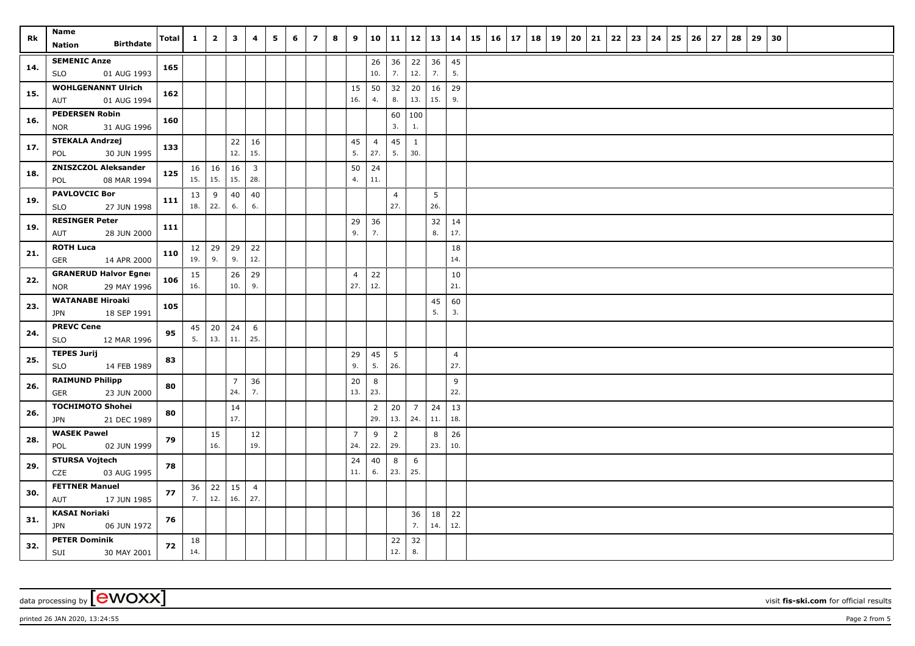| Rk  | Name<br><b>Birthdate</b>                         | Total | $\mathbf{1}$ | $\mathbf{2}$     | $\overline{\mathbf{3}}$ | 4              | 5 | 6 | $\overline{7}$ | 8 | 9              | 10                    | 11             | 12                  | 13   14  |                       | 15 | $16 \mid 17$ | 18 | 19 | 20 | 21 | 22 | 23 | 24 | 25 | 26 | 27 | 28 | 29 | 30 |  |  |
|-----|--------------------------------------------------|-------|--------------|------------------|-------------------------|----------------|---|---|----------------|---|----------------|-----------------------|----------------|---------------------|----------|-----------------------|----|--------------|----|----|----|----|----|----|----|----|----|----|----|----|----|--|--|
|     | Nation                                           |       |              |                  |                         |                |   |   |                |   |                |                       |                |                     |          |                       |    |              |    |    |    |    |    |    |    |    |    |    |    |    |    |  |  |
| 14. | <b>SEMENIC Anze</b><br>01 AUG 1993<br><b>SLO</b> | 165   |              |                  |                         |                |   |   |                |   |                | 26<br>10.             | 36<br>7.       | 22<br>12.           | 36<br>7. | 45<br>5.              |    |              |    |    |    |    |    |    |    |    |    |    |    |    |    |  |  |
|     | <b>WOHLGENANNT Ulrich</b>                        |       |              |                  |                         |                |   |   |                |   | 15             | 50                    | 32             | 20                  | 16       | 29                    |    |              |    |    |    |    |    |    |    |    |    |    |    |    |    |  |  |
| 15. | 01 AUG 1994<br>AUT                               | 162   |              |                  |                         |                |   |   |                |   | 16.            | 4.                    | 8.             | 13.                 | 15.      | 9.                    |    |              |    |    |    |    |    |    |    |    |    |    |    |    |    |  |  |
| 16. | <b>PEDERSEN Robin</b>                            | 160   |              |                  |                         |                |   |   |                |   |                |                       | 60             | 100                 |          |                       |    |              |    |    |    |    |    |    |    |    |    |    |    |    |    |  |  |
|     | <b>NOR</b><br>31 AUG 1996                        |       |              |                  |                         |                |   |   |                |   |                |                       | 3.             | 1.                  |          |                       |    |              |    |    |    |    |    |    |    |    |    |    |    |    |    |  |  |
| 17. | <b>STEKALA Andrzej</b><br>30 JUN 1995<br>POL     | 133   |              |                  | 22<br>12.               | 16<br>15.      |   |   |                |   | 45<br>5.       | $\overline{4}$<br>27. | 45<br>5.       | $\mathbf{1}$<br>30. |          |                       |    |              |    |    |    |    |    |    |    |    |    |    |    |    |    |  |  |
|     | <b>ZNISZCZOL Aleksander</b>                      |       | 16           | 16               | 16                      | $\mathbf{3}$   |   |   |                |   | 50             | 24                    |                |                     |          |                       |    |              |    |    |    |    |    |    |    |    |    |    |    |    |    |  |  |
| 18. | 08 MAR 1994<br>POL                               | 125   | 15.          | 15.              | 15.                     | 28.            |   |   |                |   | 4.             | 11.                   |                |                     |          |                       |    |              |    |    |    |    |    |    |    |    |    |    |    |    |    |  |  |
| 19. | <b>PAVLOVCIC Bor</b>                             | 111   | 13           | 9                | 40                      | 40             |   |   |                |   |                |                       | $\overline{4}$ |                     | 5        |                       |    |              |    |    |    |    |    |    |    |    |    |    |    |    |    |  |  |
|     | 27 JUN 1998<br><b>SLO</b>                        |       | 18.          | 22.              | 6.                      | 6.             |   |   |                |   |                |                       | 27.            |                     | 26.      |                       |    |              |    |    |    |    |    |    |    |    |    |    |    |    |    |  |  |
| 19. | <b>RESINGER Peter</b>                            | 111   |              |                  |                         |                |   |   |                |   | 29             | 36                    |                |                     | 32       | 14                    |    |              |    |    |    |    |    |    |    |    |    |    |    |    |    |  |  |
|     | 28 JUN 2000<br>AUT                               |       |              |                  |                         |                |   |   |                |   | 9.             | 7.                    |                |                     | 8.       | 17.                   |    |              |    |    |    |    |    |    |    |    |    |    |    |    |    |  |  |
| 21. | <b>ROTH Luca</b><br>14 APR 2000<br>GER           | 110   | 12<br>19.    | $\vert$ 29<br>9. | 29<br>9.                | 22<br>12.      |   |   |                |   |                |                       |                |                     |          | 18<br>14.             |    |              |    |    |    |    |    |    |    |    |    |    |    |    |    |  |  |
|     | <b>GRANERUD Halvor Egner</b>                     |       | 15           |                  | 26                      | 29             |   |   |                |   | $\overline{4}$ | 22                    |                |                     |          | 10                    |    |              |    |    |    |    |    |    |    |    |    |    |    |    |    |  |  |
| 22. | 29 MAY 1996<br><b>NOR</b>                        | 106   | 16.          |                  | 10.                     | 9.             |   |   |                |   | 27.            | 12.                   |                |                     |          | 21.                   |    |              |    |    |    |    |    |    |    |    |    |    |    |    |    |  |  |
| 23. | <b>WATANABE Hiroaki</b>                          | 105   |              |                  |                         |                |   |   |                |   |                |                       |                |                     | 45       | 60                    |    |              |    |    |    |    |    |    |    |    |    |    |    |    |    |  |  |
|     | <b>JPN</b><br>18 SEP 1991                        |       |              |                  |                         |                |   |   |                |   |                |                       |                |                     | 5.       | 3.                    |    |              |    |    |    |    |    |    |    |    |    |    |    |    |    |  |  |
| 24. | <b>PREVC Cene</b>                                | 95    | 45           | 20               | 24                      | 6              |   |   |                |   |                |                       |                |                     |          |                       |    |              |    |    |    |    |    |    |    |    |    |    |    |    |    |  |  |
|     | <b>SLO</b><br>12 MAR 1996                        |       | 5.           | 13.              | 11.                     | 25.            |   |   |                |   |                |                       |                |                     |          |                       |    |              |    |    |    |    |    |    |    |    |    |    |    |    |    |  |  |
| 25. | <b>TEPES Jurij</b><br>14 FEB 1989<br><b>SLO</b>  | 83    |              |                  |                         |                |   |   |                |   | 29<br>9.       | 45<br>5.              | 5<br>26.       |                     |          | $\overline{4}$<br>27. |    |              |    |    |    |    |    |    |    |    |    |    |    |    |    |  |  |
|     | <b>RAIMUND Philipp</b>                           |       |              |                  | $\overline{7}$          | 36             |   |   |                |   | 20             | 8                     |                |                     |          | 9                     |    |              |    |    |    |    |    |    |    |    |    |    |    |    |    |  |  |
| 26. | 23 JUN 2000<br>GER                               | 80    |              |                  | 24.                     | 7.             |   |   |                |   | 13.            | 23.                   |                |                     |          | 22.                   |    |              |    |    |    |    |    |    |    |    |    |    |    |    |    |  |  |
|     | <b>TOCHIMOTO Shohei</b>                          |       |              |                  | 14                      |                |   |   |                |   |                | $\overline{2}$        | 20             | $\overline{7}$      | 24       | 13                    |    |              |    |    |    |    |    |    |    |    |    |    |    |    |    |  |  |
| 26. | <b>JPN</b><br>21 DEC 1989                        | 80    |              |                  | 17.                     |                |   |   |                |   |                | 29.                   | 13.            | 24.                 | 11.      | 18.                   |    |              |    |    |    |    |    |    |    |    |    |    |    |    |    |  |  |
| 28. | <b>WASEK Pawel</b>                               | 79    |              | 15               |                         | 12             |   |   |                |   | $\overline{7}$ | 9                     | $\overline{2}$ |                     | 8        | 26                    |    |              |    |    |    |    |    |    |    |    |    |    |    |    |    |  |  |
|     | 02 JUN 1999<br>POL                               |       |              | 16.              |                         | 19.            |   |   |                |   | 24.            | 22.                   | 29.            |                     | 23.      | 10.                   |    |              |    |    |    |    |    |    |    |    |    |    |    |    |    |  |  |
| 29. | <b>STURSA Vojtech</b><br>CZE<br>03 AUG 1995      | 78    |              |                  |                         |                |   |   |                |   | 24<br>11.      | 40<br>6.              | 8<br>23.       | 6<br>25.            |          |                       |    |              |    |    |    |    |    |    |    |    |    |    |    |    |    |  |  |
|     | <b>FETTNER Manuel</b>                            |       | 36           | 22               | 15                      | $\overline{4}$ |   |   |                |   |                |                       |                |                     |          |                       |    |              |    |    |    |    |    |    |    |    |    |    |    |    |    |  |  |
| 30. | AUT<br>17 JUN 1985                               | 77    | 7.           | 12.              | 16.                     | 27.            |   |   |                |   |                |                       |                |                     |          |                       |    |              |    |    |    |    |    |    |    |    |    |    |    |    |    |  |  |
|     | <b>KASAI Noriaki</b>                             |       |              |                  |                         |                |   |   |                |   |                |                       |                | 36                  | 18       | 22                    |    |              |    |    |    |    |    |    |    |    |    |    |    |    |    |  |  |
| 31. | <b>JPN</b><br>06 JUN 1972                        | 76    |              |                  |                         |                |   |   |                |   |                |                       |                | 7.                  | 14.      | 12.                   |    |              |    |    |    |    |    |    |    |    |    |    |    |    |    |  |  |
| 32. | <b>PETER Dominik</b><br>SUI<br>30 MAY 2001       | 72    | 18<br>14.    |                  |                         |                |   |   |                |   |                |                       | 22<br>12.      | 32<br>8.            |          |                       |    |              |    |    |    |    |    |    |    |    |    |    |    |    |    |  |  |

printed 26 JAN 2020, 13:24:55 Page 2 from 5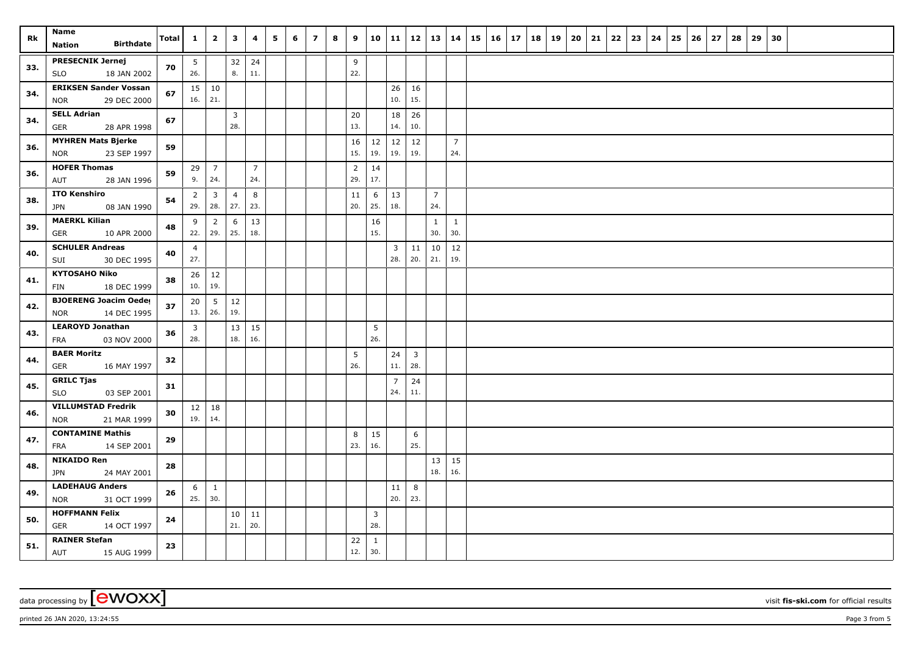| Rk  | Name                                                      | Total | $\mathbf{1}$          | $\overline{\mathbf{2}}$ | $\overline{\mathbf{3}}$ | 4              | 5 | 6 | $\overline{z}$ | 8 | 9              | 10                    | 11                    | 12                      | 13             | 14                  | 15 | $16 \mid 17$ | 18 | 19 | 20 | 21 | 22 | 23 | 24 | 25 | 26 | 27 | 28 | 29 | 30 |  |  |
|-----|-----------------------------------------------------------|-------|-----------------------|-------------------------|-------------------------|----------------|---|---|----------------|---|----------------|-----------------------|-----------------------|-------------------------|----------------|---------------------|----|--------------|----|----|----|----|----|----|----|----|----|----|----|----|----|--|--|
|     | <b>Birthdate</b><br>Nation                                |       |                       |                         |                         |                |   |   |                |   |                |                       |                       |                         |                |                     |    |              |    |    |    |    |    |    |    |    |    |    |    |    |    |  |  |
| 33. | <b>PRESECNIK Jernej</b>                                   | 70    | 5 <sub>5</sub>        |                         | 32                      | 24             |   |   |                |   | 9              |                       |                       |                         |                |                     |    |              |    |    |    |    |    |    |    |    |    |    |    |    |    |  |  |
|     | <b>SLO</b><br>18 JAN 2002                                 |       | 26.                   |                         | 8.                      | 11.            |   |   |                |   | 22.            |                       |                       |                         |                |                     |    |              |    |    |    |    |    |    |    |    |    |    |    |    |    |  |  |
| 34. | <b>ERIKSEN Sander Vossan</b><br>29 DEC 2000<br><b>NOR</b> | 67    | 16.                   | $15 \mid 10$<br>21.     |                         |                |   |   |                |   |                |                       | 26<br>10.             | 16<br>15.               |                |                     |    |              |    |    |    |    |    |    |    |    |    |    |    |    |    |  |  |
|     | <b>SELL Adrian</b>                                        |       |                       |                         | $\overline{3}$          |                |   |   |                |   | 20             |                       | 18                    | 26                      |                |                     |    |              |    |    |    |    |    |    |    |    |    |    |    |    |    |  |  |
| 34. | 28 APR 1998<br>GER                                        | 67    |                       |                         | 28.                     |                |   |   |                |   | 13.            |                       | 14.                   | 10.                     |                |                     |    |              |    |    |    |    |    |    |    |    |    |    |    |    |    |  |  |
|     | <b>MYHREN Mats Bjerke</b>                                 |       |                       |                         |                         |                |   |   |                |   | 16             | 12                    | 12                    | 12                      |                | $\overline{7}$      |    |              |    |    |    |    |    |    |    |    |    |    |    |    |    |  |  |
| 36. | 23 SEP 1997<br><b>NOR</b>                                 | 59    |                       |                         |                         |                |   |   |                |   | 15.            | 19.                   | 19.                   | 19.                     |                | 24.                 |    |              |    |    |    |    |    |    |    |    |    |    |    |    |    |  |  |
| 36. | <b>HOFER Thomas</b>                                       | 59    | 29                    | $\overline{7}$          |                         | $\overline{7}$ |   |   |                |   | $\overline{2}$ | 14                    |                       |                         |                |                     |    |              |    |    |    |    |    |    |    |    |    |    |    |    |    |  |  |
|     | AUT<br>28 JAN 1996                                        |       | 9.                    | 24.                     |                         | 24.            |   |   |                |   | 29.            | 17.                   |                       |                         |                |                     |    |              |    |    |    |    |    |    |    |    |    |    |    |    |    |  |  |
| 38. | <b>ITO Kenshiro</b>                                       | 54    | $\overline{2}$        | $\overline{3}$          | $\overline{4}$          | 8              |   |   |                |   | 11             | 6                     | 13                    |                         | $\overline{7}$ |                     |    |              |    |    |    |    |    |    |    |    |    |    |    |    |    |  |  |
|     | 08 JAN 1990<br><b>JPN</b>                                 |       | 29.                   | 28.                     | 27.                     | 23.            |   |   |                |   | 20.            | 25.                   | 18.                   |                         | 24.            |                     |    |              |    |    |    |    |    |    |    |    |    |    |    |    |    |  |  |
| 39. | <b>MAERKL Kilian</b>                                      | 48    | 9                     | $\overline{2}$<br>29.   | 6<br>25.                | 13<br>18.      |   |   |                |   |                | 16<br>15.             |                       |                         | 1<br>30.       | $\mathbf{1}$<br>30. |    |              |    |    |    |    |    |    |    |    |    |    |    |    |    |  |  |
|     | 10 APR 2000<br>GER<br><b>SCHULER Andreas</b>              |       | 22.                   |                         |                         |                |   |   |                |   |                |                       |                       |                         |                |                     |    |              |    |    |    |    |    |    |    |    |    |    |    |    |    |  |  |
| 40. | SUI<br>30 DEC 1995                                        | 40    | $\overline{4}$<br>27. |                         |                         |                |   |   |                |   |                |                       | 3<br>28.              | 11<br>20.               | 10<br>21.      | 12<br>19.           |    |              |    |    |    |    |    |    |    |    |    |    |    |    |    |  |  |
|     | <b>KYTOSAHO Niko</b>                                      |       | 26                    | 12                      |                         |                |   |   |                |   |                |                       |                       |                         |                |                     |    |              |    |    |    |    |    |    |    |    |    |    |    |    |    |  |  |
| 41. | 18 DEC 1999<br>FIN                                        | 38    | 10.                   | 19.                     |                         |                |   |   |                |   |                |                       |                       |                         |                |                     |    |              |    |    |    |    |    |    |    |    |    |    |    |    |    |  |  |
|     | <b>BJOERENG Joacim Oeder</b>                              |       | 20                    | $5\phantom{.0}$         | 12                      |                |   |   |                |   |                |                       |                       |                         |                |                     |    |              |    |    |    |    |    |    |    |    |    |    |    |    |    |  |  |
| 42. | <b>NOR</b><br>14 DEC 1995                                 | 37    | 13.                   | 26.                     | 19.                     |                |   |   |                |   |                |                       |                       |                         |                |                     |    |              |    |    |    |    |    |    |    |    |    |    |    |    |    |  |  |
| 43. | <b>LEAROYD Jonathan</b>                                   | 36    | 3                     |                         | 13                      | 15             |   |   |                |   |                | 5                     |                       |                         |                |                     |    |              |    |    |    |    |    |    |    |    |    |    |    |    |    |  |  |
|     | 03 NOV 2000<br>FRA                                        |       | 28.                   |                         | 18.                     | 16.            |   |   |                |   |                | 26.                   |                       |                         |                |                     |    |              |    |    |    |    |    |    |    |    |    |    |    |    |    |  |  |
| 44. | <b>BAER Moritz</b>                                        | 32    |                       |                         |                         |                |   |   |                |   | 5              |                       | 24                    | $\overline{\mathbf{3}}$ |                |                     |    |              |    |    |    |    |    |    |    |    |    |    |    |    |    |  |  |
|     | <b>GER</b><br>16 MAY 1997                                 |       |                       |                         |                         |                |   |   |                |   | 26.            |                       | 11.                   | 28.                     |                |                     |    |              |    |    |    |    |    |    |    |    |    |    |    |    |    |  |  |
| 45. | <b>GRILC Tjas</b><br><b>SLO</b><br>03 SEP 2001            | 31    |                       |                         |                         |                |   |   |                |   |                |                       | $\overline{7}$<br>24. | 24<br>11.               |                |                     |    |              |    |    |    |    |    |    |    |    |    |    |    |    |    |  |  |
|     | <b>VILLUMSTAD Fredrik</b>                                 |       | 12                    | 18                      |                         |                |   |   |                |   |                |                       |                       |                         |                |                     |    |              |    |    |    |    |    |    |    |    |    |    |    |    |    |  |  |
| 46. | <b>NOR</b><br>21 MAR 1999                                 | 30    | 19.                   | 14.                     |                         |                |   |   |                |   |                |                       |                       |                         |                |                     |    |              |    |    |    |    |    |    |    |    |    |    |    |    |    |  |  |
| 47. | <b>CONTAMINE Mathis</b>                                   | 29    |                       |                         |                         |                |   |   |                |   | 8              | 15                    |                       | 6                       |                |                     |    |              |    |    |    |    |    |    |    |    |    |    |    |    |    |  |  |
|     | FRA<br>14 SEP 2001                                        |       |                       |                         |                         |                |   |   |                |   | 23.            | 16.                   |                       | 25.                     |                |                     |    |              |    |    |    |    |    |    |    |    |    |    |    |    |    |  |  |
| 48. | <b>NIKAIDO Ren</b>                                        | 28    |                       |                         |                         |                |   |   |                |   |                |                       |                       |                         | 13             | 15                  |    |              |    |    |    |    |    |    |    |    |    |    |    |    |    |  |  |
|     | <b>JPN</b><br>24 MAY 2001                                 |       |                       |                         |                         |                |   |   |                |   |                |                       |                       |                         | 18.            | 16.                 |    |              |    |    |    |    |    |    |    |    |    |    |    |    |    |  |  |
| 49. | <b>LADEHAUG Anders</b>                                    | 26    | 6<br>25.              | $\mathbf{1}$<br>30.     |                         |                |   |   |                |   |                |                       | 11<br>20.             | 8<br>23.                |                |                     |    |              |    |    |    |    |    |    |    |    |    |    |    |    |    |  |  |
|     | 31 OCT 1999<br>NOR<br><b>HOFFMANN Felix</b>               |       |                       |                         |                         |                |   |   |                |   |                |                       |                       |                         |                |                     |    |              |    |    |    |    |    |    |    |    |    |    |    |    |    |  |  |
| 50. | GER<br>14 OCT 1997                                        | 24    |                       |                         | 10<br>21.               | 11<br>20.      |   |   |                |   |                | $\overline{3}$<br>28. |                       |                         |                |                     |    |              |    |    |    |    |    |    |    |    |    |    |    |    |    |  |  |
|     | <b>RAINER Stefan</b>                                      |       |                       |                         |                         |                |   |   |                |   | 22             | 1                     |                       |                         |                |                     |    |              |    |    |    |    |    |    |    |    |    |    |    |    |    |  |  |
| 51. | AUT<br>15 AUG 1999                                        | 23    |                       |                         |                         |                |   |   |                |   | 12.            | 30.                   |                       |                         |                |                     |    |              |    |    |    |    |    |    |    |    |    |    |    |    |    |  |  |

printed 26 JAN 2020, 13:24:55 Page 3 from 5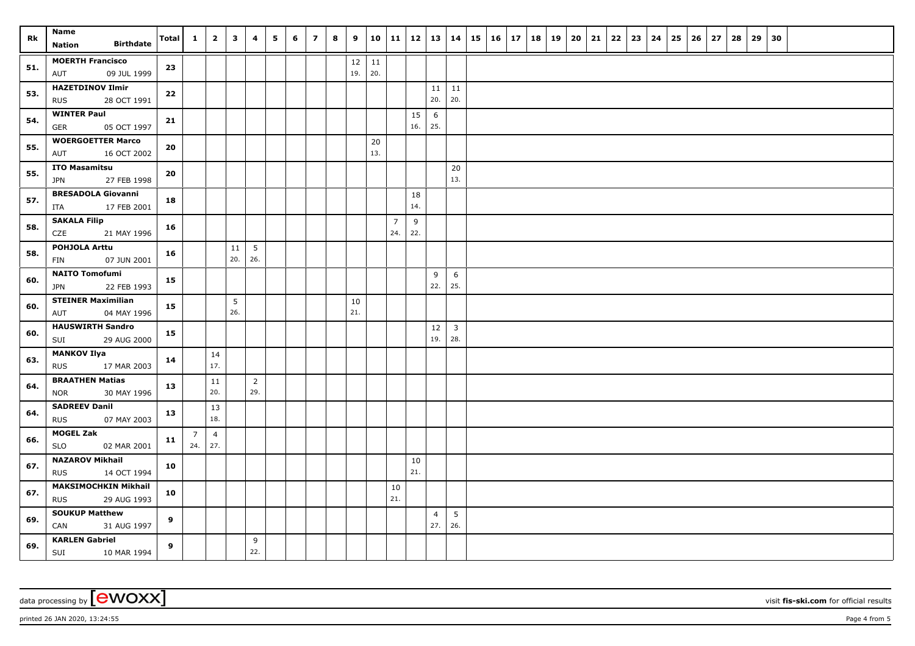| Rk  | Name<br><b>Birthdate</b><br><b>Nation</b>                | Total | $\mathbf{1}$          | $\overline{\mathbf{2}}$ | 3         | 4                     | 5 | 6 | $\overline{\phantom{a}}$ | 8 | 9         | 10        | 11                    | 12        | 13   14               |                       | 15 | 16 17 | 18 | 19 | 20 | 21 | 22 | $23 \mid$ | 24 | 25 | 26 | 27 | 28 | 29 | 30 |  |  |
|-----|----------------------------------------------------------|-------|-----------------------|-------------------------|-----------|-----------------------|---|---|--------------------------|---|-----------|-----------|-----------------------|-----------|-----------------------|-----------------------|----|-------|----|----|----|----|----|-----------|----|----|----|----|----|----|----|--|--|
| 51. | <b>MOERTH Francisco</b><br>09 JUL 1999<br>AUT            | 23    |                       |                         |           |                       |   |   |                          |   | 12<br>19. | 11<br>20. |                       |           |                       |                       |    |       |    |    |    |    |    |           |    |    |    |    |    |    |    |  |  |
| 53. | <b>HAZETDINOV Ilmir</b><br>28 OCT 1991<br><b>RUS</b>     | 22    |                       |                         |           |                       |   |   |                          |   |           |           |                       |           | 11<br>20.             | 11<br>20.             |    |       |    |    |    |    |    |           |    |    |    |    |    |    |    |  |  |
| 54. | <b>WINTER Paul</b><br><b>GER</b><br>05 OCT 1997          | 21    |                       |                         |           |                       |   |   |                          |   |           |           |                       | 15<br>16. | 6<br>25.              |                       |    |       |    |    |    |    |    |           |    |    |    |    |    |    |    |  |  |
| 55. | <b>WOERGOETTER Marco</b><br>AUT<br>16 OCT 2002           | 20    |                       |                         |           |                       |   |   |                          |   |           | 20<br>13. |                       |           |                       |                       |    |       |    |    |    |    |    |           |    |    |    |    |    |    |    |  |  |
| 55. | <b>ITO Masamitsu</b><br><b>JPN</b><br>27 FEB 1998        | 20    |                       |                         |           |                       |   |   |                          |   |           |           |                       |           |                       | 20<br>13.             |    |       |    |    |    |    |    |           |    |    |    |    |    |    |    |  |  |
| 57. | <b>BRESADOLA Giovanni</b><br>17 FEB 2001<br>ITA          | 18    |                       |                         |           |                       |   |   |                          |   |           |           |                       | 18<br>14. |                       |                       |    |       |    |    |    |    |    |           |    |    |    |    |    |    |    |  |  |
| 58. | <b>SAKALA Filip</b><br>21 MAY 1996<br>CZE                | 16    |                       |                         |           |                       |   |   |                          |   |           |           | $\overline{7}$<br>24. | 9<br>22.  |                       |                       |    |       |    |    |    |    |    |           |    |    |    |    |    |    |    |  |  |
| 58. | <b>POHJOLA Arttu</b><br>07 JUN 2001<br>FIN               | 16    |                       |                         | 11<br>20. | 5<br>26.              |   |   |                          |   |           |           |                       |           |                       |                       |    |       |    |    |    |    |    |           |    |    |    |    |    |    |    |  |  |
| 60. | <b>NAITO Tomofumi</b><br>22 FEB 1993<br><b>JPN</b>       | 15    |                       |                         |           |                       |   |   |                          |   |           |           |                       |           | 9<br>22.              | 6<br>25.              |    |       |    |    |    |    |    |           |    |    |    |    |    |    |    |  |  |
| 60. | <b>STEINER Maximilian</b><br>AUT<br>04 MAY 1996          | 15    |                       |                         | 5<br>26.  |                       |   |   |                          |   | 10<br>21. |           |                       |           |                       |                       |    |       |    |    |    |    |    |           |    |    |    |    |    |    |    |  |  |
| 60. | <b>HAUSWIRTH Sandro</b><br>SUI<br>29 AUG 2000            | 15    |                       |                         |           |                       |   |   |                          |   |           |           |                       |           | 12<br>19.             | $\overline{3}$<br>28. |    |       |    |    |    |    |    |           |    |    |    |    |    |    |    |  |  |
| 63. | <b>MANKOV Ilya</b><br><b>RUS</b><br>17 MAR 2003          | 14    |                       | 14<br>17.               |           |                       |   |   |                          |   |           |           |                       |           |                       |                       |    |       |    |    |    |    |    |           |    |    |    |    |    |    |    |  |  |
| 64. | <b>BRAATHEN Matias</b><br>30 MAY 1996<br><b>NOR</b>      | 13    |                       | 11<br>20.               |           | $\overline{2}$<br>29. |   |   |                          |   |           |           |                       |           |                       |                       |    |       |    |    |    |    |    |           |    |    |    |    |    |    |    |  |  |
| 64. | <b>SADREEV Danil</b><br><b>RUS</b><br>07 MAY 2003        | 13    |                       | 13<br>18.               |           |                       |   |   |                          |   |           |           |                       |           |                       |                       |    |       |    |    |    |    |    |           |    |    |    |    |    |    |    |  |  |
| 66. | <b>MOGEL Zak</b><br><b>SLO</b><br>02 MAR 2001            | 11    | $\overline{7}$<br>24. | $\overline{4}$<br>27.   |           |                       |   |   |                          |   |           |           |                       |           |                       |                       |    |       |    |    |    |    |    |           |    |    |    |    |    |    |    |  |  |
| 67. | <b>NAZAROV Mikhail</b><br><b>RUS</b><br>14 OCT 1994      | 10    |                       |                         |           |                       |   |   |                          |   |           |           |                       | 10<br>21. |                       |                       |    |       |    |    |    |    |    |           |    |    |    |    |    |    |    |  |  |
| 67. | <b>MAKSIMOCHKIN Mikhail</b><br>29 AUG 1993<br><b>RUS</b> | 10    |                       |                         |           |                       |   |   |                          |   |           |           | 10<br>21.             |           |                       |                       |    |       |    |    |    |    |    |           |    |    |    |    |    |    |    |  |  |
| 69. | <b>SOUKUP Matthew</b><br>CAN<br>31 AUG 1997              | 9     |                       |                         |           |                       |   |   |                          |   |           |           |                       |           | $\overline{4}$<br>27. | 5<br>26.              |    |       |    |    |    |    |    |           |    |    |    |    |    |    |    |  |  |
| 69. | <b>KARLEN Gabriel</b><br>SUI 10 MAR 1994                 | 9     |                       |                         |           | 9<br>22.              |   |   |                          |   |           |           |                       |           |                       |                       |    |       |    |    |    |    |    |           |    |    |    |    |    |    |    |  |  |

data processing by **CWOXX** visit **fis-ski.com** for official results

printed 26 JAN 2020, 13:24:55 Page 4 from 5